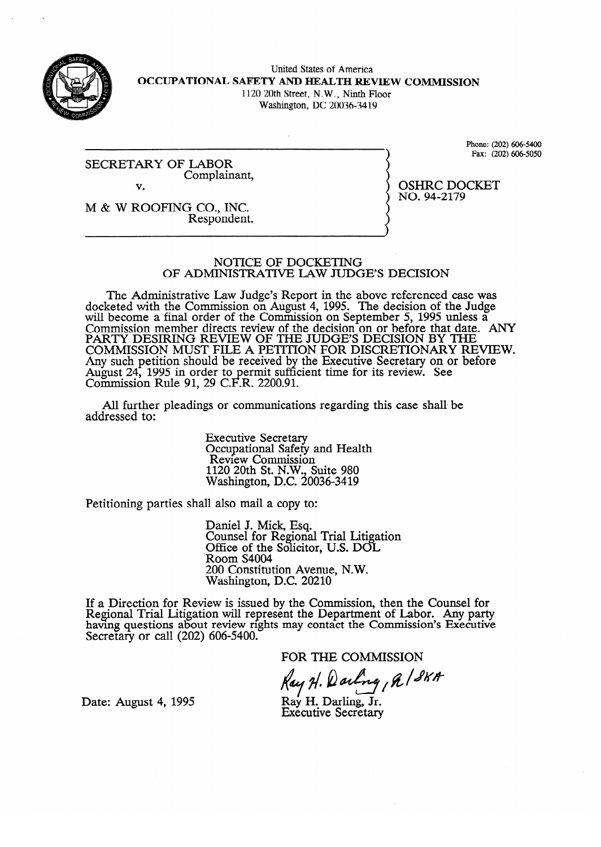

United States of America **OCCUPATIONAL SAFETY AND HEALTH REVIEW COMMISSION**  1120 20th Street, N.W., Ninth Floor

Washington, DC 20036-34 19

**SECRETARY OF LABOR**  Complainant, v.

 $Pay: (202) 606-5050$ Fax: (202) 606-5050

 $\overline{NO}$ . 94-2179 no. 94-2179<br>94-2179

M & W ROOFING CO., INC.<br>Respondent. Respondent.

#### NOTICE OF DOCKETING OF ADMINISTRATIVE LAW JUDGE'S DECISION

The Administrative Law Judge's Report in the above referenced case was docketed with the Commission on August 4, 1995. The decision of the Judge will become a final order of the Commission on September 5, 1995 unless a will become a final order of the Commission on September 5, 1995 unless a  $\sigma$ Commission member directs review of the decision on or before that date. PARTY DESIRING REVIEW OF THE JUDGE'S DECISION BY THE<br>COMMISSION MUST FILE A DETTION FOR DECRETIONARY REVIEW. COMMISSION MUST FILE A PETITION FOR DISCRETIONARY RE Any such pennon should be received by the executive secretary on or before August 24, 1993 in order to permit suit.<br>Commission Dule 01, 20 C E D, 2200.01 COMMISSION KWE  $91, 29$  C. the Executive Secretary Secretary Secretary on the Executive Secretary of the Secretary of Secretary Secretary Secretary of Secretary Secretary Secretary Secretary Secretary Secretary Secretary Secretary Secretary Secretar  $\kappa$ .  $2200.91$ .

All further pleadings or communication  $A$ ll  $B$ s or communications regardings or communications regarding the shall behall behall behall behall behall behall behall behall behall behall behall behall behall behall behall behall behall behall behall behall beh

> **Executive Secretary** Review Commissio  $1120$  20th St. N.W., Suite 980 Washington, D.C. 20  $1120$   $1120$   $1120$   $1120$

Petitioning parties shall also mail a copy to:

Daniel J. Mick, Esq.<br>Counsel for Regional Trial Litigation Office of the Solicitor, U.S. DOL Room S4004 200 Constitution Avenue, N.W. Washington, D.C. 20210

 $\overline{a}$  $\text{few}$  is issued by the Com having questions about review rights may contact the Commission's Executive Secretary or call  $(202)$  606-5400.

FOR THE COMMISSION

Kay H. Warling, R / SKA

Date: August 4, 1995

Ray H. Darling, Jr.<br>Executive Secretary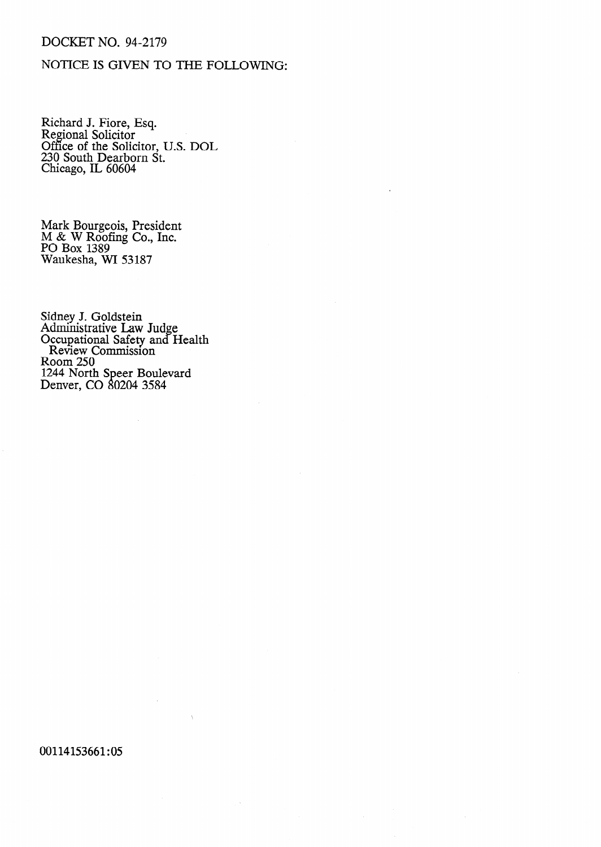# DOCKET NO. 94-2179

## NOTICE IS GIVEN TO THE FOLLOWING:

Richard J. Fiore, Esq. Regional Solicitor Office of the Solicitor, U.S. DOL 230 South Dearborn St. Chicago, IL 60604

Mark Bourgeois, President M & W Roofing Co., Inc. PO Box 1389 Waukesha, WI 53187

Sidney J. Goldstein Administrative Law Judge Occupational Safety and Health Review Commission Room 250 1244 North Speer Boulevard Denver, CO 80204 3584

### 00114153661:05

 $\mathcal{A}^{\mathcal{A}}$ 

 $\mathbb{R}^d$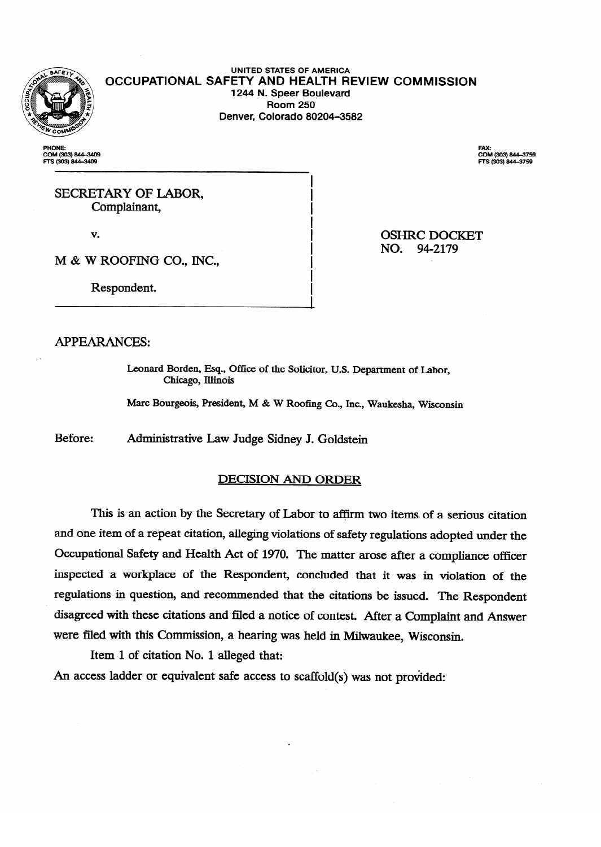

**UNITED STATES OF AMERICA OCCUPATIONAL SAFETY AND HEALTH REVIEW COMMISSION**  1244 **N. Speer Boulevard**  Denver, Colorado 80204-3582 **Denver, Colorado 80204-3582** 

**PHONE: COM (303) 844-340<br>FTS (303) 844-3409** 

**F-7s(303)844-3409** 

FAX:<br>COM (303) 844–3759 **zi (303)8444759** 

SECRETARY OF LABOR,<br>Complainant, Complainant

v.

**OSHRC DOCKET** NO. 94-2179  $N_{\rm eff}$  ) and  $N_{\rm eff}$  ( ) and ).

M & W ROOFING CO., INC.,

Respondent. Respondent.

**APPEARANCES:** 

APPEARANCES: Leonard Borden, Esq., Office of the Solicitor, U.S. Department of Labor,

Marc Bourgeois, President, M & W Roofing Co., Inc., Waukesha, Wisconsin

Before: Administrative Law Judge Sidney J. Goldstein

### **DECISION AND ORDER**

and one item of a repeat citation, alleging violations of safety regulations adopted under the Occupational Safety and Health Act of 1970. The matter arose after a compliance officer inspected a workplace of the Respondent, concluded that it was in violation of the regulations in question, and recommended that the citations be issued. The Respondent disagreed with these citations and filed a notice of contest. After a Complaint and Answer were filed with this Commission, a hearing was held in Milwaukee, Wisconsin.

Item 1 of citation No. 1 alleged that:

An access ladder or equivalent safe access to scaffold(s) was not provided: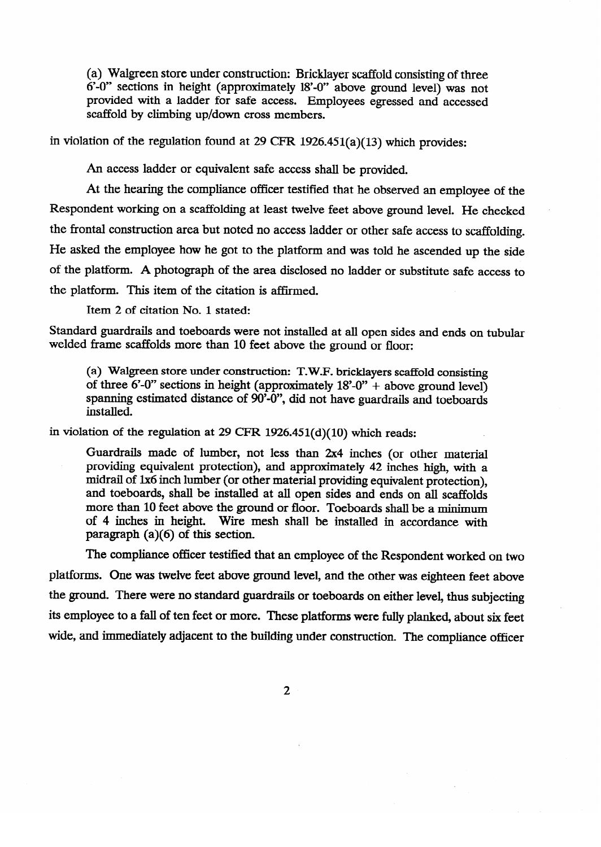(a) Walgreen store under construction: Bricklayer scaffold consisting of three 6'.0" sections in height (approximately 18'-0" above ground level) was not provided with a ladder for safe access. Employees egressed and accessed scaffold by climbing up/down cross members.

in violation of the regulation found at 29 CFR 1926.451(a)(13) which provides:

An access ladder or equivalent safe access shall be provided.

At the hearing the compliance officer testified that he observed an employee of the Respondent working on a scaffolding at least twelve feet above ground level. He checked Respondent working on a scaffolding at least twelve feet above ground level. He checked . the frontal construction area but noted no access ladder or other safe access to scaffolding. He asked the employee how he got to the platform and was told he ascended up the side of the platform. A photograph of the area disclosed no ladder or substitute safe access to the platform. This item of the citation is affirmed.

Item 2 of citation No. 1 stated:

Standard guardrails and toeboards were not installed at all open sides and ends on tubular welded frame scaffolds more than 10 feet above the ground or floor:

of three 6'-0" sections in height (approximately  $18^{\circ}$ -0" + above ground level) spanning estimated distance of 90'-0", did not have guardrails and toeboards installed.  $s_{\rm s}$  installed.

in violation of the regulation at 29 CFR  $1926.451(d)(10)$  which reads:

Guardrails made of lumber, not less than  $2x4$  inches (or other material  $\mu$  overlaps equivalent protection), and approximately 42 inches mgn, with  $\mu$  $p_{\text{total}}$  or two literature (or other material providing equivalent protection), and toeboards, shall be installed at all open sides and ends on all scaffolds more than 10 feet above the ground or floor. Toeboards shall be a minimum more than 10 feet above the ground of hoof. Toeboards shall be a minimum or the more than 10 feet above than 10 feet above the accordance will  $f^{\text{max}}$  in  $\binom{n}{x}$  is a installed in accordance with a cordinate with  $\binom{n}{x}$ 

The compliance officer testified. platforms. One was twelve feet above ground level, and the other was eighteen feet above the ground. There were no standard guardrails or toeboards on either level, thus subjecting its employee to a fall of ten feet or more. These platforms were fully planked, about six feet wide, and immediately adjacent to the building under construction. The compliance officer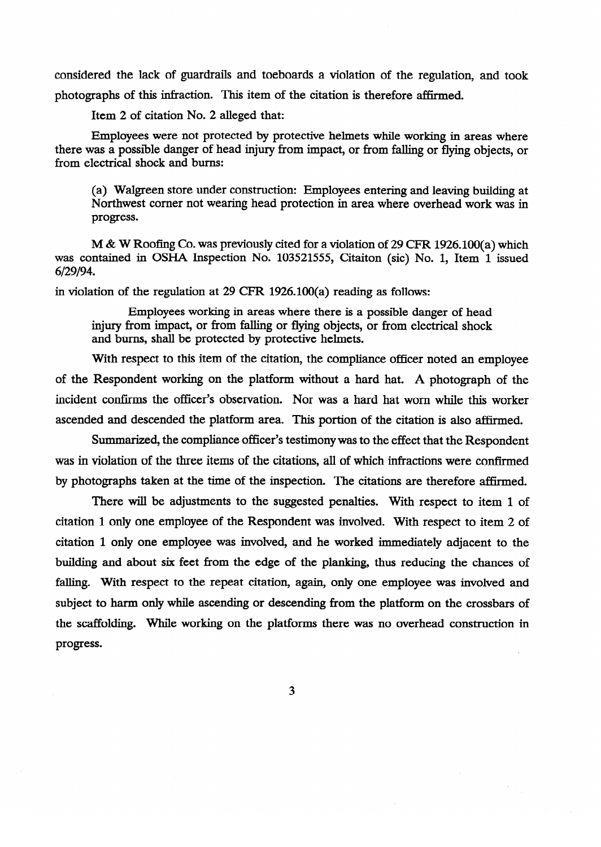considered the lack of guardrails and toeboards a violation of the regulation, and took photographs of this infraction. This item of the citation is therefore affirmed.

Item 2 of citation No. 2 alleged that:

Employees were not protected by protective helmets while working in areas where there was a possible danger of head hijury from impact, or from falling or flying objects, or from electrical shock and burns:

(a) Walgreen store under construction in the project extering and leaving building at Northwest corner not wearing head protection in area where overhead work was in  $\overline{p}$ 

M & W Roofing Co. was previously cited for a violation of 29 CFR 1926.100(a) which was contained in OSHA Inspection No. 103521555, Citaiton (sic) No. 1, Item 1 issued  $6/29/94.$ 

in violation of the regulation at 29 CFR  $1926.100(a)$  reading as follows:

Employees working in areas where there is a possible danger of head injury from impact, or from falling or flying objects, or from electrical shock and burns, shall be protected by protective helmets.

With respect to this item of the citation, the compliance officer noted an employee of the Respondent working on the platform without a hard hat. A photograph of the incident confirms the officer's observation. Nor was a hard hat worn while this worker ascended and descended the platform area. This portion of the citation is also affirmed.

Summarized, the compliance officer's testimony was to the effect that the Respondent was in violation of the three items of the citations, all of which infractions were confirmed by photographs taken at the time of the inspection. The citations are therefore affirmed.

There will be adjustments to the suggested penalties. With respect to item 1 of citation 1 only one employee of the Respondent was involved. With respect to item 2 of citation 1 only one employee was involved, and he worked immediately adjacent to the building and about six feet from the edge of the planking, thus reducing the chances of falling. With respect to the repeat citation, again, only one employee was involved and subject to harm only while ascending or descending from the platform on the crossbars of the scaffolding. While working on the platforms there was no overhead construction in the scaffolding. While working on the platforms the platforms there was no overhead construction in the platform